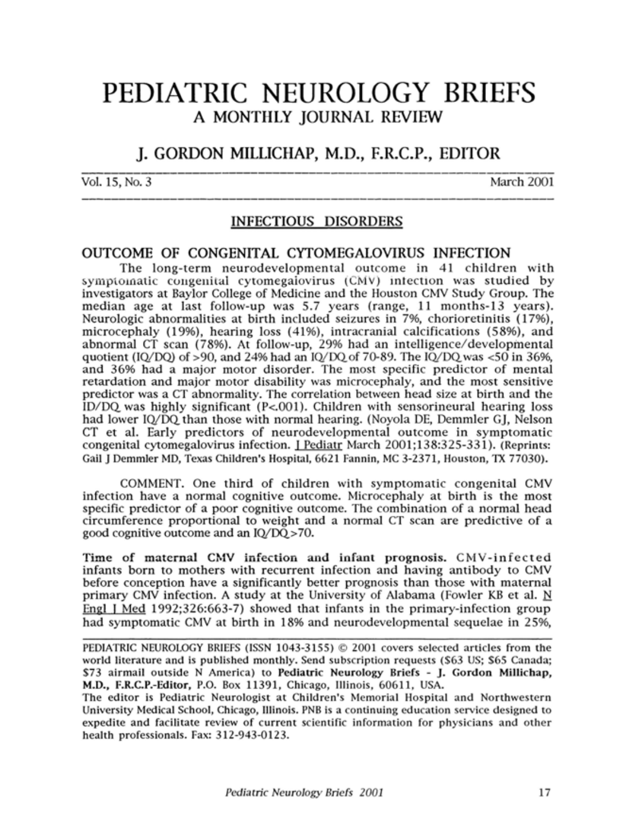# PEDIATRIC NEUROLOGY BRIEFS A MONTHLY JOURNAL REVIEW

# J. GORDON MILLICHAP, M.D., F.R.C.P., EDITOR

Vol. 15, No. 3 March 2001

## INFECTIOUS DISORDERS

#### OUTCOME OF CONGENITAL CYTOMEGALOVIRUS INFECTION

The long-term neurodevelopmental outcome in 41 children with symptomatic congenital cytomegalovirus (CMV) infection was studied by investigators at Baylor College of Medicine and the Houston CMV Study Group. The median age at last follow-up was 5.7 years (range, <sup>11</sup> months-13 years). Neurologic abnormalities at birth included seizures in 7%, chorioretinitis (17%), microcephaly (19%), hearing loss (41%), intracranial calcifications (58%), and abnormal CT scan (78%). At follow-up, 29% had an intelligence/developmental quotient (IQ/DQ) of >90, and 24% had an IQ/DQ of 70-89. The IQ/DQ was  $<$ 50 in 36%, and 36% had a major motor disorder. The most specific predictor of mental retardation and major motor disability was microcephaly, and the most sensitive predictor was a CT abnormality. The correlation between head size at birth and the  $ID/DO$  was highly significant (P<.001). Children with sensorineural hearing loss had lower IQ/DQ, than those with normal hearing. (Noyola DE, Demmler GJ, Nelson CT et al. Early predictors of neurodevelopmental outcome in symptomatic congenital cytomegalovirus infection. <sup>1</sup> Pediatr March 2001;138:325-331). (Reprints: Gail <sup>J</sup> Demmler MD, Texas Children's Hospital, 6621 Fannin, MC 3-2371, Houston, TX 77030).

COMMENT. One third of children with symptomatic congenital CMV infection have <sup>a</sup> normal cognitive outcome. Microcephaly at birth is the most specific predictor of a poor cognitive outcome. The combination of a normal head circumference proportional to weight and <sup>a</sup> normal CT scan are predictive of a good cognitive outcome and an IQ/DQ > 70.

Time of maternal CMV infection and infant prognosis. CMV-infected infants born to mothers with recurrent infection and having antibody to CMV before conception have a significantly better prognosis than those with maternal primary CMV infection. A study at the University of Alabama (Fowler KB et al. N Engl <sup>1</sup> Med 1992;326:663-7) showed that infants in the primary-infection group had symptomatic CMV at birth in 18% and neurodevelopmental sequelae in 25%,

PEDIATRIC NEUROLOGY BRIEFS (ISSN 1043-3155) © 2001 covers selected articles from the world literature and is published monthly. Send subscription requests (\$63 US; \$65 Canada; \$73 airmail outside N America) to Pediatric Neurology Briefs - J. Gordon Millichap, M.D., F.R.C.P.-Editor, P.O. Box 11391, Chicago, Illinois, 60611, USA.

The editor is Pediatric Neurologist at Children's Memorial Hospital and Northwestern University Medical School, Chicago, Illinois. PNB is a continuing education service designed to expedite and facilitate review of current scientific information for physicians and other health professionals. Fax: 312-943-0123.